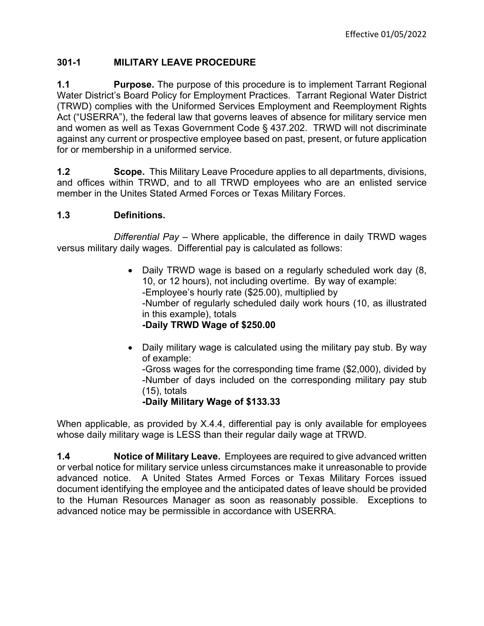## **301-1 MILITARY LEAVE PROCEDURE**

**1.1 Purpose.** The purpose of this procedure is to implement Tarrant Regional Water District's Board Policy for Employment Practices.Tarrant Regional Water District (TRWD) complies with the Uniformed Services Employment and Reemployment Rights Act ("USERRA"), the federal law that governs leaves of absence for military service men and women as well as Texas Government Code § 437.202. TRWD will not discriminate against any current or prospective employee based on past, present, or future application for or membership in a uniformed service.

**1.2 Scope.** This Military Leave Procedure applies to all departments, divisions, and offices within TRWD, and to all TRWD employees who are an enlisted service member in the Unites Stated Armed Forces or Texas Military Forces.

## **1.3 Definitions.**

*Differential Pay* – Where applicable, the difference in daily TRWD wages versus military daily wages. Differential pay is calculated as follows:

- Daily TRWD wage is based on a regularly scheduled work day (8, 10, or 12 hours), not including overtime. By way of example: -Employee's hourly rate (\$25.00), multiplied by -Number of regularly scheduled daily work hours (10, as illustrated in this example), totals **-Daily TRWD Wage of \$250.00**
- Daily military wage is calculated using the military pay stub. By way of example:

-Gross wages for the corresponding time frame (\$2,000), divided by -Number of days included on the corresponding military pay stub (15), totals

## **-Daily Military Wage of \$133.33**

When applicable, as provided by X.4.4, differential pay is only available for employees whose daily military wage is LESS than their regular daily wage at TRWD.

**1.4 Notice of Military Leave.** Employees are required to give advanced written or verbal notice for military service unless circumstances make it unreasonable to provide advanced notice. A United States Armed Forces or Texas Military Forces issued document identifying the employee and the anticipated dates of leave should be provided to the Human Resources Manager as soon as reasonably possible. Exceptions to advanced notice may be permissible in accordance with USERRA.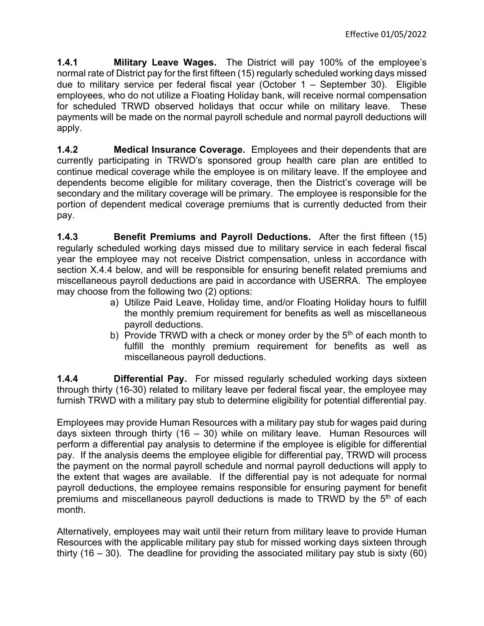**1.4.1 Military Leave Wages.** The District will pay 100% of the employee's normal rate of District pay for the first fifteen (15) regularly scheduled working days missed due to military service per federal fiscal year (October 1 – September 30). Eligible employees, who do not utilize a Floating Holiday bank, will receive normal compensation for scheduled TRWD observed holidays that occur while on military leave. These payments will be made on the normal payroll schedule and normal payroll deductions will apply.

**1.4.2 Medical Insurance Coverage.** Employees and their dependents that are currently participating in TRWD's sponsored group health care plan are entitled to continue medical coverage while the employee is on military leave. If the employee and dependents become eligible for military coverage, then the District's coverage will be secondary and the military coverage will be primary. The employee is responsible for the portion of dependent medical coverage premiums that is currently deducted from their pay.

**1.4.3 Benefit Premiums and Payroll Deductions.** After the first fifteen (15) regularly scheduled working days missed due to military service in each federal fiscal year the employee may not receive District compensation, unless in accordance with section X.4.4 below, and will be responsible for ensuring benefit related premiums and miscellaneous payroll deductions are paid in accordance with USERRA. The employee may choose from the following two (2) options:

- a) Utilize Paid Leave, Holiday time, and/or Floating Holiday hours to fulfill the monthly premium requirement for benefits as well as miscellaneous payroll deductions.
- b) Provide TRWD with a check or money order by the  $5<sup>th</sup>$  of each month to fulfill the monthly premium requirement for benefits as well as miscellaneous payroll deductions.

**1.4.4 Differential Pay.** For missed regularly scheduled working days sixteen through thirty (16-30) related to military leave per federal fiscal year, the employee may furnish TRWD with a military pay stub to determine eligibility for potential differential pay.

Employees may provide Human Resources with a military pay stub for wages paid during days sixteen through thirty (16 – 30) while on military leave. Human Resources will perform a differential pay analysis to determine if the employee is eligible for differential pay. If the analysis deems the employee eligible for differential pay, TRWD will process the payment on the normal payroll schedule and normal payroll deductions will apply to the extent that wages are available. If the differential pay is not adequate for normal payroll deductions, the employee remains responsible for ensuring payment for benefit premiums and miscellaneous payroll deductions is made to TRWD by the  $5<sup>th</sup>$  of each month.

Alternatively, employees may wait until their return from military leave to provide Human Resources with the applicable military pay stub for missed working days sixteen through thirty (16 – 30). The deadline for providing the associated military pay stub is sixty (60)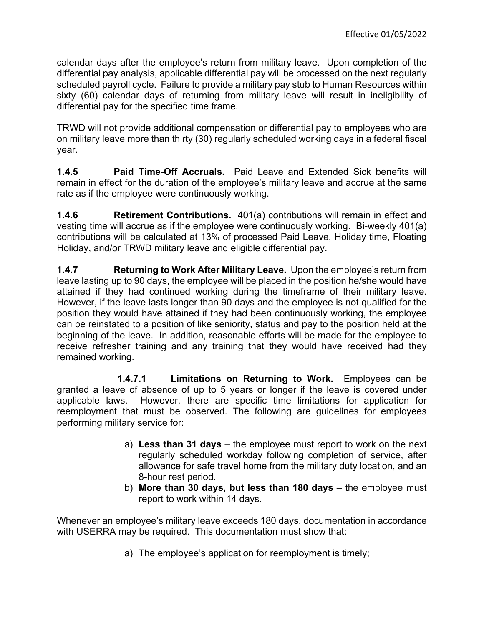calendar days after the employee's return from military leave. Upon completion of the differential pay analysis, applicable differential pay will be processed on the next regularly scheduled payroll cycle. Failure to provide a military pay stub to Human Resources within sixty (60) calendar days of returning from military leave will result in ineligibility of differential pay for the specified time frame.

TRWD will not provide additional compensation or differential pay to employees who are on military leave more than thirty (30) regularly scheduled working days in a federal fiscal year.

**1.4.5 Paid Time-Off Accruals.** Paid Leave and Extended Sick benefits will remain in effect for the duration of the employee's military leave and accrue at the same rate as if the employee were continuously working.

**1.4.6 Retirement Contributions.** 401(a) contributions will remain in effect and vesting time will accrue as if the employee were continuously working. Bi-weekly 401(a) contributions will be calculated at 13% of processed Paid Leave, Holiday time, Floating Holiday, and/or TRWD military leave and eligible differential pay.

**1.4.7 Returning to Work After Military Leave.** Upon the employee's return from leave lasting up to 90 days, the employee will be placed in the position he/she would have attained if they had continued working during the timeframe of their military leave. However, if the leave lasts longer than 90 days and the employee is not qualified for the position they would have attained if they had been continuously working, the employee can be reinstated to a position of like seniority, status and pay to the position held at the beginning of the leave. In addition, reasonable efforts will be made for the employee to receive refresher training and any training that they would have received had they remained working.

**1.4.7.1 Limitations on Returning to Work.** Employees can be granted a leave of absence of up to 5 years or longer if the leave is covered under applicable laws. However, there are specific time limitations for application for reemployment that must be observed. The following are guidelines for employees performing military service for:

- a) **Less than 31 days** the employee must report to work on the next regularly scheduled workday following completion of service, after allowance for safe travel home from the military duty location, and an 8-hour rest period.
- b) **More than 30 days, but less than 180 days** the employee must report to work within 14 days.

Whenever an employee's military leave exceeds 180 days, documentation in accordance with USERRA may be required. This documentation must show that:

a) The employee's application for reemployment is timely;